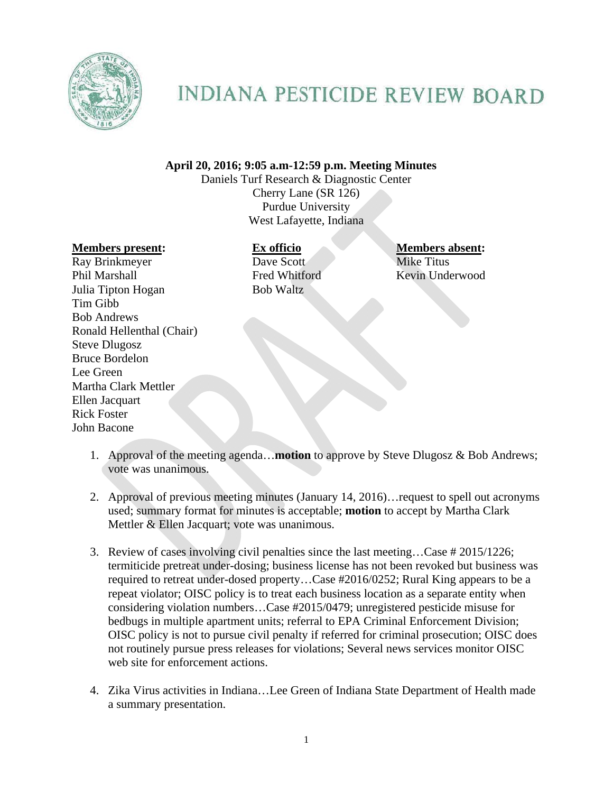

## **INDIANA PESTICIDE REVIEW BOARD**

## **April 20, 2016; 9:05 a.m-12:59 p.m. Meeting Minutes**

Daniels Turf Research & Diagnostic Center Cherry Lane (SR 126) Purdue University West Lafayette, Indiana

## **Members present: Ex officio Members absent:**

Ray Brinkmeyer Dave Scott Mike Titus Phil Marshall Fred Whitford Kevin Underwood Julia Tipton Hogan Bob Waltz Tim Gibb Bob Andrews Ronald Hellenthal (Chair) Steve Dlugosz Bruce Bordelon Lee Green Martha Clark Mettler Ellen Jacquart Rick Foster John Bacone

- 1. Approval of the meeting agenda…**motion** to approve by Steve Dlugosz & Bob Andrews; vote was unanimous.
- 2. Approval of previous meeting minutes (January 14, 2016)…request to spell out acronyms used; summary format for minutes is acceptable; **motion** to accept by Martha Clark Mettler & Ellen Jacquart; vote was unanimous.
- 3. Review of cases involving civil penalties since the last meeting…Case # 2015/1226; termiticide pretreat under-dosing; business license has not been revoked but business was required to retreat under-dosed property…Case #2016/0252; Rural King appears to be a repeat violator; OISC policy is to treat each business location as a separate entity when considering violation numbers…Case #2015/0479; unregistered pesticide misuse for bedbugs in multiple apartment units; referral to EPA Criminal Enforcement Division; OISC policy is not to pursue civil penalty if referred for criminal prosecution; OISC does not routinely pursue press releases for violations; Several news services monitor OISC web site for enforcement actions.
- 4. Zika Virus activities in Indiana…Lee Green of Indiana State Department of Health made a summary presentation.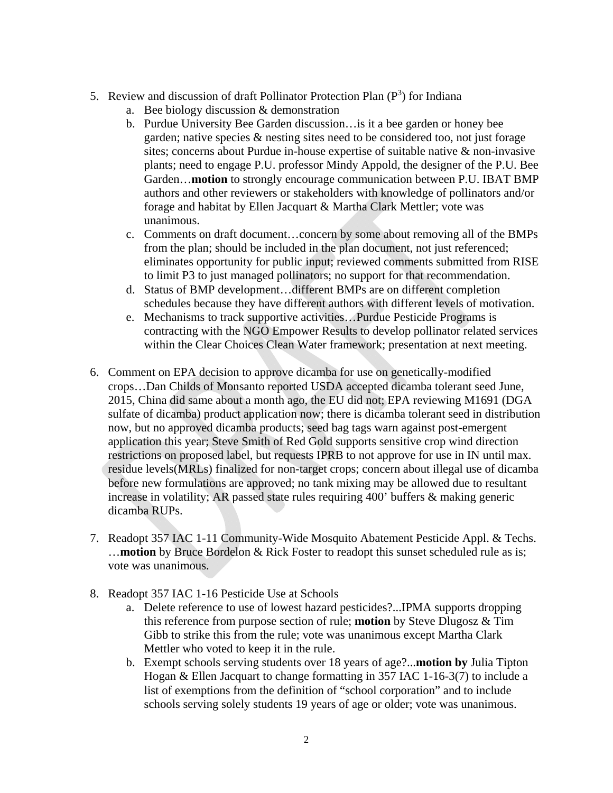- 5. Review and discussion of draft Pollinator Protection Plan  $(P^3)$  for Indiana
	- a. Bee biology discussion & demonstration
	- b. Purdue University Bee Garden discussion…is it a bee garden or honey bee garden; native species & nesting sites need to be considered too, not just forage sites; concerns about Purdue in-house expertise of suitable native & non-invasive plants; need to engage P.U. professor Mindy Appold, the designer of the P.U. Bee Garden…**motion** to strongly encourage communication between P.U. IBAT BMP authors and other reviewers or stakeholders with knowledge of pollinators and/or forage and habitat by Ellen Jacquart & Martha Clark Mettler; vote was unanimous.
	- c. Comments on draft document…concern by some about removing all of the BMPs from the plan; should be included in the plan document, not just referenced; eliminates opportunity for public input; reviewed comments submitted from RISE to limit P3 to just managed pollinators; no support for that recommendation.
	- d. Status of BMP development…different BMPs are on different completion schedules because they have different authors with different levels of motivation.
	- e. Mechanisms to track supportive activities…Purdue Pesticide Programs is contracting with the NGO Empower Results to develop pollinator related services within the Clear Choices Clean Water framework; presentation at next meeting.
- 6. Comment on EPA decision to approve dicamba for use on genetically-modified crops…Dan Childs of Monsanto reported USDA accepted dicamba tolerant seed June, 2015, China did same about a month ago, the EU did not; EPA reviewing M1691 (DGA sulfate of dicamba) product application now; there is dicamba tolerant seed in distribution now, but no approved dicamba products; seed bag tags warn against post-emergent application this year; Steve Smith of Red Gold supports sensitive crop wind direction restrictions on proposed label, but requests IPRB to not approve for use in IN until max. residue levels(MRLs) finalized for non-target crops; concern about illegal use of dicamba before new formulations are approved; no tank mixing may be allowed due to resultant increase in volatility; AR passed state rules requiring 400' buffers & making generic dicamba RUPs.
- 7. Readopt 357 IAC 1-11 Community-Wide Mosquito Abatement Pesticide Appl. & Techs. …**motion** by Bruce Bordelon & Rick Foster to readopt this sunset scheduled rule as is; vote was unanimous.
- 8. Readopt 357 IAC 1-16 Pesticide Use at Schools
	- a. Delete reference to use of lowest hazard pesticides?...IPMA supports dropping this reference from purpose section of rule; **motion** by Steve Dlugosz & Tim Gibb to strike this from the rule; vote was unanimous except Martha Clark Mettler who voted to keep it in the rule.
	- b. Exempt schools serving students over 18 years of age?...**motion by** Julia Tipton Hogan & Ellen Jacquart to change formatting in 357 IAC 1-16-3(7) to include a list of exemptions from the definition of "school corporation" and to include schools serving solely students 19 years of age or older; vote was unanimous.